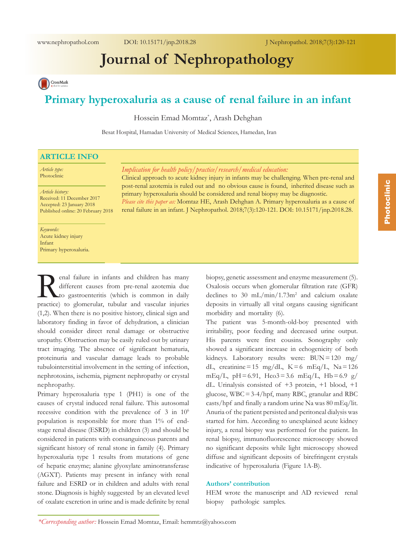# **Journal of Nephropathology**

CrossMark

# **Primary hyperoxaluria as a cause of renal failure in an infant**

Hossein Emad Momtaz\* , Arash Dehghan

Besat Hospital, Hamadan University of Medical Sciences, Hamedan, Iran

## **ARTICLE INFO**

*Article type:* Photoclinic

*Article history:* Received: 11 December 2017 Accepted: 23 January 2018 Published online: 20 February 2018

#### *Keywords:* Acute kidney injury Infant

Primary hyperoxaluria.

enal failure in infants and children has many<br>different causes from pre-renal azotemia due<br>to gastroenteritis (which is common in daily<br>practice) to glomerular tubular and vascular injuries different causes from pre-renal azotemia due to gastroenteritis (which is common in daily practice) to glomerular, tubular and vascular injuries (1,2). When there is no positive history, clinical sign and laboratory finding in favor of dehydration, a clinician should consider direct renal damage or obstructive uropathy. Obstruction may be easily ruled out by urinary tract imaging. The absence of significant hematuria, proteinuria and vascular damage leads to probable tubulointerstitial involvement in the setting of infection, nephrotoxins, ischemia, pigment nephropathy or crystal nephropathy.

Primary hyperoxaluria type 1 (PH1) is one of the causes of crystal induced renal failure. This autosomal recessive condition with the prevalence of 3 in  $10^6$ population is responsible for more than 1% of endstage renal disease (ESRD) in children (3) and should be considered in patients with consanguineous parents and significant history of renal stone in family (4). Primary hyperoxaluria type 1 results from mutations of gene of hepatic enzyme; alanine glyoxylate aminotransferase (AGXT). Patients may present in infancy with renal failure and ESRD or in children and adults with renal stone. Diagnosis is highly suggested by an elevated level of oxalate excretion in urine and is made definite by renal

*Implication for health policy/practice/research/medical education:*

Clinical approach to acute kidney injury in infants may be challenging. When pre-renal and post-renal azotemia is ruled out and no obvious cause is found, inherited disease such as primary hyperoxaluria should be considered and renal biopsy may be diagnostic. *Please cite this paper as:* Momtaz HE, Arash Dehghan A. Primary hyperoxaluria as a cause of

renal failure in an infant. J Nephropathol. 2018;7(3):120-121. DOI: 10.15171/jnp.2018.28.

biopsy, genetic assessment and enzyme measurement (5). Oxalosis occurs when glomerular filtration rate (GFR) declines to 30 mL/min/1.73m<sup>2</sup> and calcium oxalate deposits in virtually all vital organs causing significant morbidity and mortality (6).

The patient was 5-month-old-boy presented with irritability, poor feeding and decreased urine output. His parents were first cousins. Sonography only showed a significant increase in echogenicity of both kidneys. Laboratory results were: BUN=120 mg/ dL, creatinine=15 mg/dL,  $K=6$  mEq/L,  $Na=126$ mEq/L,  $pH = 6.91$ ,  $Hco3 = 3.6$  mEq/L,  $Hb = 6.9$  g/ dL. Urinalysis consisted of +3 protein, +1 blood, +1 glucose, WBC=3-4/hpf, many RBC, granular and RBC casts/hpf and finally a random urine Na was 80 mEq/lit. Anuria of the patient persisted and peritoneal dialysis was started for him. According to unexplained acute kidney injury, a renal biopsy was performed for the patient. In renal biopsy, immunofluorescence microscopy showed no significant deposits while light microscopy showed diffuse and significant deposits of birefringent crystals indicative of hyperoxaluria (Figure 1A-B).

#### **Authors' contribution**

HEM wrote the manuscript and AD reviewed renal biopsy pathologic samples.

*<sup>\*</sup>Corresponding author:* Hossein Emad Momtaz, Email: hemmtz@yahoo.com